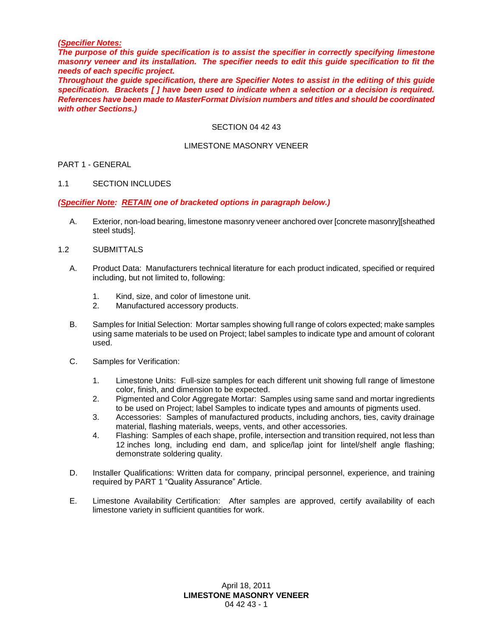#### *(Specifier Notes:*

*The purpose of this guide specification is to assist the specifier in correctly specifying limestone masonry veneer and its installation. The specifier needs to edit this guide specification to fit the needs of each specific project.* 

*Throughout the guide specification, there are Specifier Notes to assist in the editing of this guide specification. Brackets [ ] have been used to indicate when a selection or a decision is required. References have been made to MasterFormat Division numbers and titles and should be coordinated with other Sections.)*

#### SECTION 04 42 43

### LIMESTONE MASONRY VENEER

# PART 1 - GENERAL

#### 1.1 SECTION INCLUDES

#### *(Specifier Note: RETAIN one of bracketed options in paragraph below.)*

A. Exterior, non-load bearing, limestone masonry veneer anchored over [concrete masonry][sheathed steel studs].

### 1.2 SUBMITTALS

- A. Product Data: Manufacturers technical literature for each product indicated, specified or required including, but not limited to, following:
	- 1. Kind, size, and color of limestone unit.<br>2. Manufactured accessory products.
	- Manufactured accessory products.
- B. Samples for Initial Selection: Mortar samples showing full range of colors expected; make samples using same materials to be used on Project; label samples to indicate type and amount of colorant used.
- C. Samples for Verification:
	- 1. Limestone Units: Full-size samples for each different unit showing full range of limestone color, finish, and dimension to be expected.
	- 2. Pigmented and Color Aggregate Mortar: Samples using same sand and mortar ingredients to be used on Project; label Samples to indicate types and amounts of pigments used.
	- 3. Accessories: Samples of manufactured products, including anchors, ties, cavity drainage material, flashing materials, weeps, vents, and other accessories.
	- 4. Flashing: Samples of each shape, profile, intersection and transition required, not less than 12 inches long, including end dam, and splice/lap joint for lintel/shelf angle flashing; demonstrate soldering quality.
- D. Installer Qualifications: Written data for company, principal personnel, experience, and training required by PART 1 "Quality Assurance" Article.
- E. Limestone Availability Certification: After samples are approved, certify availability of each limestone variety in sufficient quantities for work.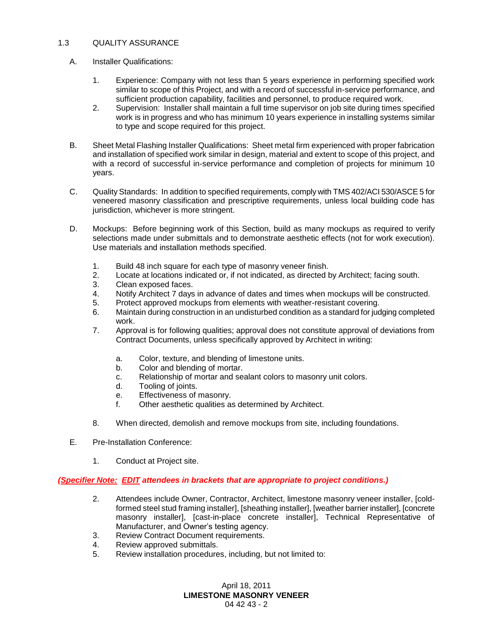# 1.3 QUALITY ASSURANCE

- A. Installer Qualifications:
	- 1. Experience: Company with not less than 5 years experience in performing specified work similar to scope of this Project, and with a record of successful in-service performance, and sufficient production capability, facilities and personnel, to produce required work.
	- 2. Supervision: Installer shall maintain a full time supervisor on job site during times specified work is in progress and who has minimum 10 years experience in installing systems similar to type and scope required for this project.
- B. Sheet Metal Flashing Installer Qualifications: Sheet metal firm experienced with proper fabrication and installation of specified work similar in design, material and extent to scope of this project, and with a record of successful in-service performance and completion of projects for minimum 10 years.
- C. Quality Standards: In addition to specified requirements, comply with TMS 402/ACI 530/ASCE 5 for veneered masonry classification and prescriptive requirements, unless local building code has jurisdiction, whichever is more stringent.
- D. Mockups: Before beginning work of this Section, build as many mockups as required to verify selections made under submittals and to demonstrate aesthetic effects (not for work execution). Use materials and installation methods specified.
	- 1. Build 48 inch square for each type of masonry veneer finish.
	- 2. Locate at locations indicated or, if not indicated, as directed by Architect; facing south.
	- 3. Clean exposed faces.
	- 4. Notify Architect 7 days in advance of dates and times when mockups will be constructed.
	- 5. Protect approved mockups from elements with weather-resistant covering.
	- 6. Maintain during construction in an undisturbed condition as a standard for judging completed work.
	- 7. Approval is for following qualities; approval does not constitute approval of deviations from Contract Documents, unless specifically approved by Architect in writing:
		- a. Color, texture, and blending of limestone units.
		- b. Color and blending of mortar.
		- c. Relationship of mortar and sealant colors to masonry unit colors.
		- d. Tooling of joints.
		- e. Effectiveness of masonry.
		- f. Other aesthetic qualities as determined by Architect.
	- 8. When directed, demolish and remove mockups from site, including foundations.
- E. Pre-Installation Conference:
	- 1. Conduct at Project site.

### *(Specifier Note: EDIT attendees in brackets that are appropriate to project conditions.)*

- 2. Attendees include Owner, Contractor, Architect, limestone masonry veneer installer, [coldformed steel stud framing installer], [sheathing installer], [weather barrier installer], [concrete masonry installer], [cast-in-place concrete installer], Technical Representative of Manufacturer, and Owner's testing agency.
- 3. Review Contract Document requirements.
- 4. Review approved submittals.
- 5. Review installation procedures, including, but not limited to: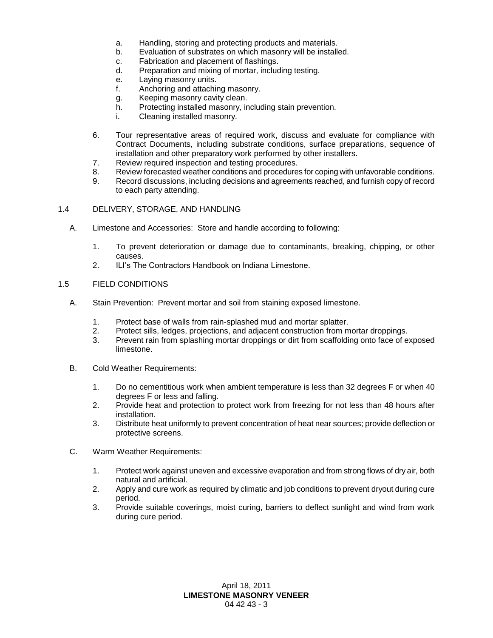- a. Handling, storing and protecting products and materials.
- b. Evaluation of substrates on which masonry will be installed.
- c. Fabrication and placement of flashings.
- d. Preparation and mixing of mortar, including testing.
- e. Laying masonry units.
- f. Anchoring and attaching masonry.
- g. Keeping masonry cavity clean.
- h. Protecting installed masonry, including stain prevention.
- i. Cleaning installed masonry.
- 6. Tour representative areas of required work, discuss and evaluate for compliance with Contract Documents, including substrate conditions, surface preparations, sequence of installation and other preparatory work performed by other installers.
- 7. Review required inspection and testing procedures.
- 8. Review forecasted weather conditions and procedures for coping with unfavorable conditions.
- 9. Record discussions, including decisions and agreements reached, and furnish copy of record to each party attending.
- 1.4 DELIVERY, STORAGE, AND HANDLING
	- A. Limestone and Accessories: Store and handle according to following:
		- 1. To prevent deterioration or damage due to contaminants, breaking, chipping, or other causes.
		- 2. ILI's The Contractors Handbook on Indiana Limestone.

# 1.5 FIELD CONDITIONS

- A. Stain Prevention: Prevent mortar and soil from staining exposed limestone.
	- 1. Protect base of walls from rain-splashed mud and mortar splatter.
	- 2. Protect sills, ledges, projections, and adjacent construction from mortar droppings.
	- 3. Prevent rain from splashing mortar droppings or dirt from scaffolding onto face of exposed limestone.
- B. Cold Weather Requirements:
	- 1. Do no cementitious work when ambient temperature is less than 32 degrees F or when 40 degrees F or less and falling.
	- 2. Provide heat and protection to protect work from freezing for not less than 48 hours after installation.
	- 3. Distribute heat uniformly to prevent concentration of heat near sources; provide deflection or protective screens.
- C. Warm Weather Requirements:
	- 1. Protect work against uneven and excessive evaporation and from strong flows of dry air, both natural and artificial.
	- 2. Apply and cure work as required by climatic and job conditions to prevent dryout during cure period.
	- 3. Provide suitable coverings, moist curing, barriers to deflect sunlight and wind from work during cure period.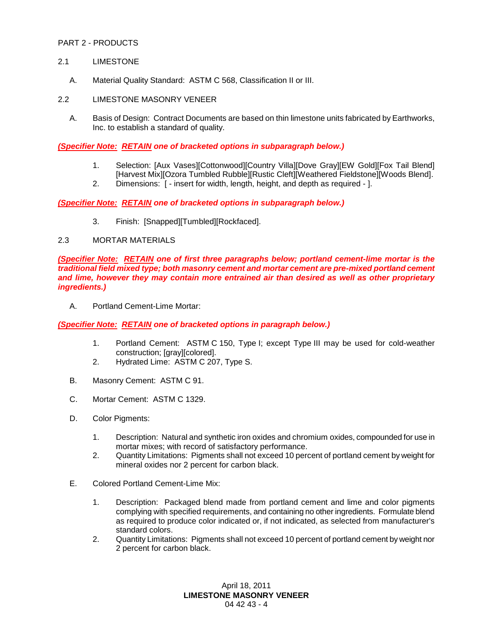## PART 2 - PRODUCTS

### 2.1 LIMESTONE

A. Material Quality Standard: ASTM C 568, Classification II or III.

# 2.2 LIMESTONE MASONRY VENEER

A. Basis of Design: Contract Documents are based on thin limestone units fabricated by Earthworks, Inc. to establish a standard of quality.

*(Specifier Note: RETAIN one of bracketed options in subparagraph below.)*

- 1. Selection: [Aux Vases][Cottonwood][Country Villa][Dove Gray][EW Gold][Fox Tail Blend] [Harvest Mix][Ozora Tumbled Rubble][Rustic Cleft][Weathered Fieldstone][Woods Blend].
- 2. Dimensions: [ insert for width, length, height, and depth as required ].

*(Specifier Note: RETAIN one of bracketed options in subparagraph below.)*

3. Finish: [Snapped][Tumbled][Rockfaced].

### 2.3 MORTAR MATERIALS

*(Specifier Note: RETAIN one of first three paragraphs below; portland cement-lime mortar is the traditional field mixed type; both masonry cement and mortar cement are pre-mixed portland cement and lime, however they may contain more entrained air than desired as well as other proprietary ingredients.)*

A. Portland Cement-Lime Mortar:

*(Specifier Note: RETAIN one of bracketed options in paragraph below.)*

- 1. Portland Cement: ASTM C 150, Type I; except Type III may be used for cold-weather construction; [gray][colored].
- 2. Hydrated Lime: ASTM C 207, Type S.
- B. Masonry Cement: ASTM C 91.
- C. Mortar Cement: ASTM C 1329.
- D. Color Pigments:
	- 1. Description: Natural and synthetic iron oxides and chromium oxides, compounded for use in mortar mixes; with record of satisfactory performance.
	- 2. Quantity Limitations: Pigments shall not exceed 10 percent of portland cement by weight for mineral oxides nor 2 percent for carbon black.
- E. Colored Portland Cement-Lime Mix:
	- 1. Description: Packaged blend made from portland cement and lime and color pigments complying with specified requirements, and containing no other ingredients. Formulate blend as required to produce color indicated or, if not indicated, as selected from manufacturer's standard colors.
	- 2. Quantity Limitations: Pigments shall not exceed 10 percent of portland cement by weight nor 2 percent for carbon black.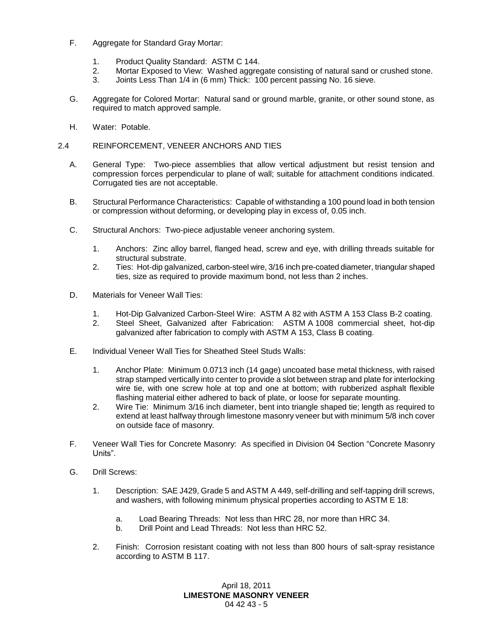- F. Aggregate for Standard Gray Mortar:
	- 1. Product Quality Standard: ASTM C 144.
	- 2. Mortar Exposed to View: Washed aggregate consisting of natural sand or crushed stone.<br>3. Joints Less Than 1/4 in (6 mm) Thick: 100 percent passing No. 16 sieve.
	- Joints Less Than 1/4 in (6 mm) Thick: 100 percent passing No. 16 sieve.
- G. Aggregate for Colored Mortar: Natural sand or ground marble, granite, or other sound stone, as required to match approved sample.
- H. Water: Potable.

## 2.4 REINFORCEMENT, VENEER ANCHORS AND TIES

- A. General Type: Two-piece assemblies that allow vertical adjustment but resist tension and compression forces perpendicular to plane of wall; suitable for attachment conditions indicated. Corrugated ties are not acceptable.
- B. Structural Performance Characteristics: Capable of withstanding a 100 pound load in both tension or compression without deforming, or developing play in excess of, 0.05 inch.
- C. Structural Anchors: Two-piece adjustable veneer anchoring system.
	- 1. Anchors: Zinc alloy barrel, flanged head, screw and eye, with drilling threads suitable for structural substrate.
	- 2. Ties: Hot-dip galvanized, carbon-steel wire, 3/16 inch pre-coated diameter, triangular shaped ties, size as required to provide maximum bond, not less than 2 inches.
- D. Materials for Veneer Wall Ties:
	- 1. Hot-Dip Galvanized Carbon-Steel Wire: ASTM A 82 with ASTM A 153 Class B-2 coating.
	- 2. Steel Sheet, Galvanized after Fabrication: ASTM A 1008 commercial sheet, hot-dip galvanized after fabrication to comply with ASTM A 153, Class B coating.
- E. Individual Veneer Wall Ties for Sheathed Steel Studs Walls:
	- 1. Anchor Plate: Minimum 0.0713 inch (14 gage) uncoated base metal thickness, with raised strap stamped vertically into center to provide a slot between strap and plate for interlocking wire tie, with one screw hole at top and one at bottom; with rubberized asphalt flexible flashing material either adhered to back of plate, or loose for separate mounting.
	- 2. Wire Tie: Minimum 3/16 inch diameter, bent into triangle shaped tie; length as required to extend at least halfway through limestone masonry veneer but with minimum 5/8 inch cover on outside face of masonry.
- F. Veneer Wall Ties for Concrete Masonry: As specified in Division 04 Section "Concrete Masonry Units".
- G. Drill Screws:
	- 1. Description: SAE J429, Grade 5 and ASTM A 449, self-drilling and self-tapping drill screws, and washers, with following minimum physical properties according to ASTM E 18:
		- a. Load Bearing Threads: Not less than HRC 28, nor more than HRC 34.
		- b. Drill Point and Lead Threads: Not less than HRC 52.
	- 2. Finish: Corrosion resistant coating with not less than 800 hours of salt-spray resistance according to ASTM B 117.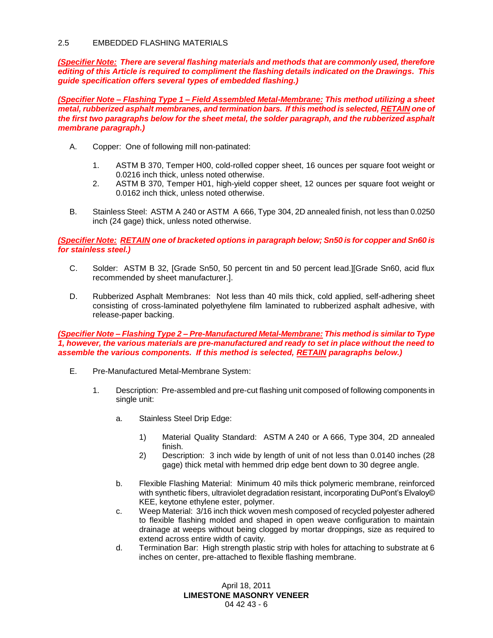## 2.5 EMBEDDED FLASHING MATERIALS

*(Specifier Note: There are several flashing materials and methods that are commonly used, therefore editing of this Article is required to compliment the flashing details indicated on the Drawings. This guide specification offers several types of embedded flashing.)*

*(Specifier Note – Flashing Type 1 – Field Assembled Metal-Membrane: This method utilizing a sheet metal, rubberized asphalt membranes, and termination bars. If this method is selected, RETAIN one of the first two paragraphs below for the sheet metal, the solder paragraph, and the rubberized asphalt membrane paragraph.)*

- A. Copper: One of following mill non-patinated:
	- 1. ASTM B 370, Temper H00, cold-rolled copper sheet, 16 ounces per square foot weight or 0.0216 inch thick, unless noted otherwise.
	- 2. ASTM B 370, Temper H01, high-yield copper sheet, 12 ounces per square foot weight or 0.0162 inch thick, unless noted otherwise.
- B. Stainless Steel: ASTM A 240 or ASTM A 666, Type 304, 2D annealed finish, not less than 0.0250 inch (24 gage) thick, unless noted otherwise.

*(Specifier Note: RETAIN one of bracketed options in paragraph below; Sn50 is for copper and Sn60 is for stainless steel.)*

- C. Solder: ASTM B 32, [Grade Sn50, 50 percent tin and 50 percent lead.][Grade Sn60, acid flux recommended by sheet manufacturer.].
- D. Rubberized Asphalt Membranes: Not less than 40 mils thick, cold applied, self-adhering sheet consisting of cross-laminated polyethylene film laminated to rubberized asphalt adhesive, with release-paper backing.

*(Specifier Note – Flashing Type 2 – Pre-Manufactured Metal-Membrane: This method is similar to Type 1, however, the various materials are pre-manufactured and ready to set in place without the need to assemble the various components. If this method is selected, RETAIN paragraphs below.)*

- E. Pre-Manufactured Metal-Membrane System:
	- 1. Description: Pre-assembled and pre-cut flashing unit composed of following components in single unit:
		- a. Stainless Steel Drip Edge:
			- 1) Material Quality Standard: ASTM A 240 or A 666, Type 304, 2D annealed finish.
			- 2) Description: 3 inch wide by length of unit of not less than 0.0140 inches (28 gage) thick metal with hemmed drip edge bent down to 30 degree angle.
		- b. Flexible Flashing Material: Minimum 40 mils thick polymeric membrane, reinforced with synthetic fibers, ultraviolet degradation resistant, incorporating DuPont's Elvaloy© KEE, keytone ethylene ester, polymer.
		- c. Weep Material: 3/16 inch thick woven mesh composed of recycled polyester adhered to flexible flashing molded and shaped in open weave configuration to maintain drainage at weeps without being clogged by mortar droppings, size as required to extend across entire width of cavity.
		- d. Termination Bar: High strength plastic strip with holes for attaching to substrate at 6 inches on center, pre-attached to flexible flashing membrane.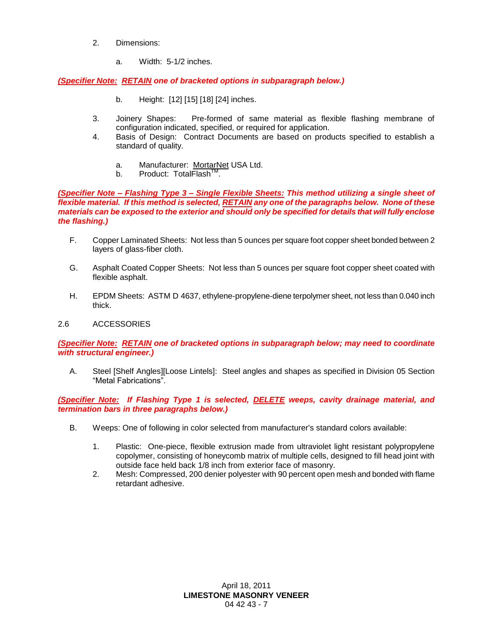- 2. Dimensions:
	- a. Width: 5-1/2 inches.

*(Specifier Note: RETAIN one of bracketed options in subparagraph below.)*

- b. Height: [12] [15] [18] [24] inches.
- 3. Joinery Shapes: Pre-formed of same material as flexible flashing membrane of configuration indicated, specified, or required for application.
- 4. Basis of Design: Contract Documents are based on products specified to establish a standard of quality.
	- a. Manufacturer: MortarNet USA Ltd.
	- b. Product: TotalFlash<sup>™</sup>.

*(Specifier Note – Flashing Type 3 – Single Flexible Sheets: This method utilizing a single sheet of flexible material. If this method is selected, RETAIN any one of the paragraphs below. None of these materials can be exposed to the exterior and should only be specified for details that will fully enclose the flashing.)*

- F. Copper Laminated Sheets: Not less than 5 ounces per square foot copper sheet bonded between 2 layers of glass-fiber cloth.
- G. Asphalt Coated Copper Sheets: Not less than 5 ounces per square foot copper sheet coated with flexible asphalt.
- H. EPDM Sheets: ASTM D 4637, ethylene-propylene-diene terpolymer sheet, not less than 0.040 inch thick.

# 2.6 ACCESSORIES

*(Specifier Note: RETAIN one of bracketed options in subparagraph below; may need to coordinate with structural engineer.)*

A. Steel [Shelf Angles][Loose Lintels]: Steel angles and shapes as specified in Division 05 Section "Metal Fabrications".

*(Specifier Note: If Flashing Type 1 is selected, DELETE weeps, cavity drainage material, and termination bars in three paragraphs below.)*

- B. Weeps: One of following in color selected from manufacturer's standard colors available:
	- 1. Plastic: One-piece, flexible extrusion made from ultraviolet light resistant polypropylene copolymer, consisting of honeycomb matrix of multiple cells, designed to fill head joint with outside face held back 1/8 inch from exterior face of masonry.
	- 2. Mesh: Compressed, 200 denier polyester with 90 percent open mesh and bonded with flame retardant adhesive.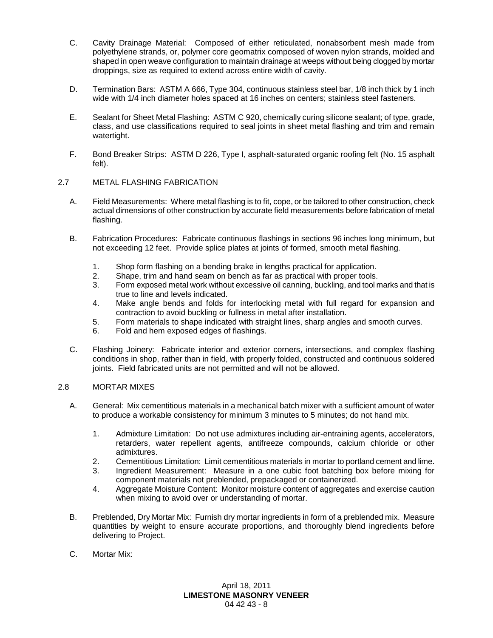- C. Cavity Drainage Material: Composed of either reticulated, nonabsorbent mesh made from polyethylene strands, or, polymer core geomatrix composed of woven nylon strands, molded and shaped in open weave configuration to maintain drainage at weeps without being clogged by mortar droppings, size as required to extend across entire width of cavity.
- D. Termination Bars: ASTM A 666, Type 304, continuous stainless steel bar, 1/8 inch thick by 1 inch wide with 1/4 inch diameter holes spaced at 16 inches on centers; stainless steel fasteners.
- E. Sealant for Sheet Metal Flashing: ASTM C 920, chemically curing silicone sealant; of type, grade, class, and use classifications required to seal joints in sheet metal flashing and trim and remain watertight.
- F. Bond Breaker Strips: ASTM D 226, Type I, asphalt-saturated organic roofing felt (No. 15 asphalt felt).

# 2.7 METAL FLASHING FABRICATION

- A. Field Measurements: Where metal flashing is to fit, cope, or be tailored to other construction, check actual dimensions of other construction by accurate field measurements before fabrication of metal flashing.
- B. Fabrication Procedures: Fabricate continuous flashings in sections 96 inches long minimum, but not exceeding 12 feet. Provide splice plates at joints of formed, smooth metal flashing.
	- 1. Shop form flashing on a bending brake in lengths practical for application.
	- 2. Shape, trim and hand seam on bench as far as practical with proper tools.<br>3. Form exposed metal work without excessive oil canning, buckling, and tool n
	- 3. Form exposed metal work without excessive oil canning, buckling, and tool marks and that is true to line and levels indicated.
	- 4. Make angle bends and folds for interlocking metal with full regard for expansion and contraction to avoid buckling or fullness in metal after installation.
	- 5. Form materials to shape indicated with straight lines, sharp angles and smooth curves.
	- 6. Fold and hem exposed edges of flashings.
- C. Flashing Joinery: Fabricate interior and exterior corners, intersections, and complex flashing conditions in shop, rather than in field, with properly folded, constructed and continuous soldered joints. Field fabricated units are not permitted and will not be allowed.

### 2.8 MORTAR MIXES

- A. General: Mix cementitious materials in a mechanical batch mixer with a sufficient amount of water to produce a workable consistency for minimum 3 minutes to 5 minutes; do not hand mix.
	- 1. Admixture Limitation: Do not use admixtures including air-entraining agents, accelerators, retarders, water repellent agents, antifreeze compounds, calcium chloride or other admixtures.
	- 2. Cementitious Limitation: Limit cementitious materials in mortar to portland cement and lime.
	- 3. Ingredient Measurement: Measure in a one cubic foot batching box before mixing for component materials not preblended, prepackaged or containerized.
	- 4. Aggregate Moisture Content: Monitor moisture content of aggregates and exercise caution when mixing to avoid over or understanding of mortar.
- B. Preblended, Dry Mortar Mix: Furnish dry mortar ingredients in form of a preblended mix. Measure quantities by weight to ensure accurate proportions, and thoroughly blend ingredients before delivering to Project.
- C. Mortar Mix: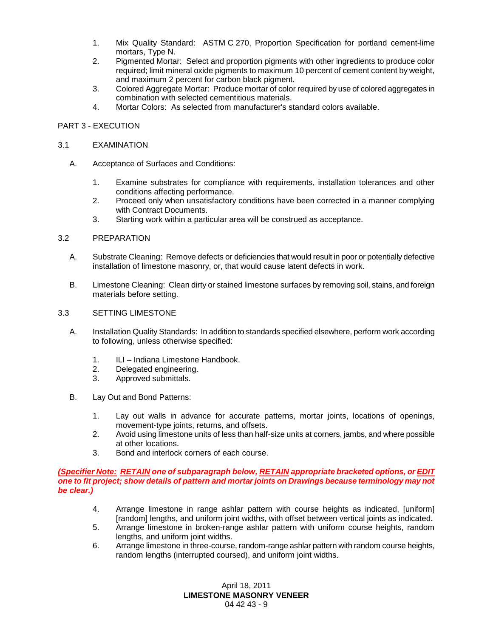- 1. Mix Quality Standard: ASTM C 270, Proportion Specification for portland cement-lime mortars, Type N.
- 2. Pigmented Mortar: Select and proportion pigments with other ingredients to produce color required; limit mineral oxide pigments to maximum 10 percent of cement content by weight, and maximum 2 percent for carbon black pigment.
- 3. Colored Aggregate Mortar: Produce mortar of color required by use of colored aggregates in combination with selected cementitious materials.
- 4. Mortar Colors: As selected from manufacturer's standard colors available.

# PART 3 - EXECUTION

#### 3.1 EXAMINATION

- A. Acceptance of Surfaces and Conditions:
	- 1. Examine substrates for compliance with requirements, installation tolerances and other conditions affecting performance.
	- 2. Proceed only when unsatisfactory conditions have been corrected in a manner complying with Contract Documents.
	- 3. Starting work within a particular area will be construed as acceptance.

### 3.2 PREPARATION

- A. Substrate Cleaning: Remove defects or deficiencies that would result in poor or potentially defective installation of limestone masonry, or, that would cause latent defects in work.
- B. Limestone Cleaning: Clean dirty or stained limestone surfaces by removing soil, stains, and foreign materials before setting.

#### 3.3 SETTING LIMESTONE

- A. Installation Quality Standards: In addition to standards specified elsewhere, perform work according to following, unless otherwise specified:
	- 1. ILI Indiana Limestone Handbook.
	- 2. Delegated engineering.
	- 3. Approved submittals.
- B. Lay Out and Bond Patterns:
	- 1. Lay out walls in advance for accurate patterns, mortar joints, locations of openings, movement-type joints, returns, and offsets.
	- 2. Avoid using limestone units of less than half-size units at corners, jambs, and where possible at other locations.
	- 3. Bond and interlock corners of each course.

### *(Specifier Note: RETAIN one of subparagraph below, RETAIN appropriate bracketed options, or EDIT one to fit project; show details of pattern and mortar joints on Drawings because terminology may not be clear.)*

- 4. Arrange limestone in range ashlar pattern with course heights as indicated, [uniform] [random] lengths, and uniform joint widths, with offset between vertical joints as indicated.
- 5. Arrange limestone in broken-range ashlar pattern with uniform course heights, random lengths, and uniform joint widths.
- 6. Arrange limestone in three-course, random-range ashlar pattern with random course heights, random lengths (interrupted coursed), and uniform joint widths.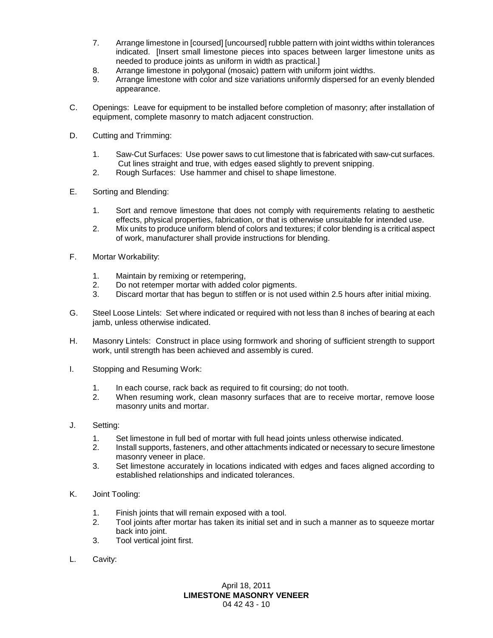- 7. Arrange limestone in [coursed] [uncoursed] rubble pattern with joint widths within tolerances indicated. [Insert small limestone pieces into spaces between larger limestone units as needed to produce joints as uniform in width as practical.]
- 8. Arrange limestone in polygonal (mosaic) pattern with uniform joint widths.
- 9. Arrange limestone with color and size variations uniformly dispersed for an evenly blended appearance.
- C. Openings: Leave for equipment to be installed before completion of masonry; after installation of equipment, complete masonry to match adjacent construction.
- D. Cutting and Trimming:
	- 1. Saw-Cut Surfaces: Use power saws to cut limestone that is fabricated with saw-cut surfaces. Cut lines straight and true, with edges eased slightly to prevent snipping.
	- 2. Rough Surfaces: Use hammer and chisel to shape limestone.
- E. Sorting and Blending:
	- 1. Sort and remove limestone that does not comply with requirements relating to aesthetic effects, physical properties, fabrication, or that is otherwise unsuitable for intended use.
	- 2. Mix units to produce uniform blend of colors and textures; if color blending is a critical aspect of work, manufacturer shall provide instructions for blending.
- F. Mortar Workability:
	- 1. Maintain by remixing or retempering,
	- 2. Do not retemper mortar with added color pigments.
	- 3. Discard mortar that has begun to stiffen or is not used within 2.5 hours after initial mixing.
- G. Steel Loose Lintels: Set where indicated or required with not less than 8 inches of bearing at each jamb, unless otherwise indicated.
- H. Masonry Lintels: Construct in place using formwork and shoring of sufficient strength to support work, until strength has been achieved and assembly is cured.
- I. Stopping and Resuming Work:
	- 1. In each course, rack back as required to fit coursing; do not tooth.
	- 2. When resuming work, clean masonry surfaces that are to receive mortar, remove loose masonry units and mortar.
- J. Setting:
	- 1. Set limestone in full bed of mortar with full head joints unless otherwise indicated.
	- 2. Install supports, fasteners, and other attachments indicated or necessary to secure limestone masonry veneer in place.
	- 3. Set limestone accurately in locations indicated with edges and faces aligned according to established relationships and indicated tolerances.
- K. Joint Tooling:
	- 1. Finish joints that will remain exposed with a tool.
	- 2. Tool joints after mortar has taken its initial set and in such a manner as to squeeze mortar back into joint.
	- 3. Tool vertical joint first.
- L. Cavity: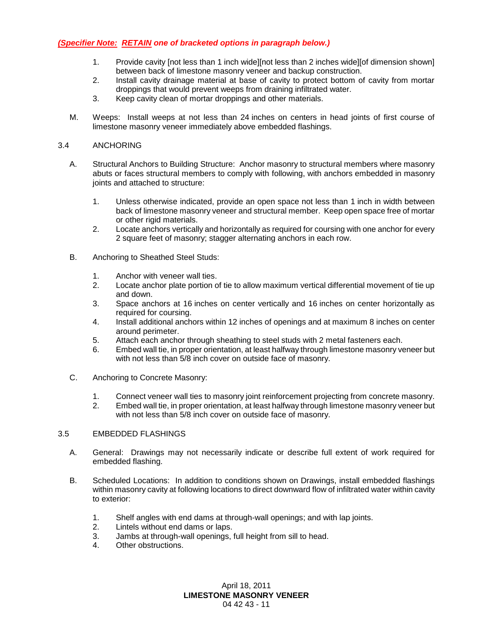# *(Specifier Note: RETAIN one of bracketed options in paragraph below.)*

- 1. Provide cavity [not less than 1 inch wide][not less than 2 inches wide][of dimension shown] between back of limestone masonry veneer and backup construction.
- 2. Install cavity drainage material at base of cavity to protect bottom of cavity from mortar droppings that would prevent weeps from draining infiltrated water.
- 3. Keep cavity clean of mortar droppings and other materials.
- M. Weeps: Install weeps at not less than 24 inches on centers in head joints of first course of limestone masonry veneer immediately above embedded flashings.

## 3.4 ANCHORING

- A. Structural Anchors to Building Structure: Anchor masonry to structural members where masonry abuts or faces structural members to comply with following, with anchors embedded in masonry joints and attached to structure:
	- 1. Unless otherwise indicated, provide an open space not less than 1 inch in width between back of limestone masonry veneer and structural member. Keep open space free of mortar or other rigid materials.
	- 2. Locate anchors vertically and horizontally as required for coursing with one anchor for every 2 square feet of masonry; stagger alternating anchors in each row.
- B. Anchoring to Sheathed Steel Studs:
	- 1. Anchor with veneer wall ties.
	- 2. Locate anchor plate portion of tie to allow maximum vertical differential movement of tie up and down.
	- 3. Space anchors at 16 inches on center vertically and 16 inches on center horizontally as required for coursing.
	- 4. Install additional anchors within 12 inches of openings and at maximum 8 inches on center around perimeter.
	- 5. Attach each anchor through sheathing to steel studs with 2 metal fasteners each.
	- 6. Embed wall tie, in proper orientation, at least halfway through limestone masonry veneer but with not less than 5/8 inch cover on outside face of masonry.
- C. Anchoring to Concrete Masonry:
	- 1. Connect veneer wall ties to masonry joint reinforcement projecting from concrete masonry.
	- 2. Embed wall tie, in proper orientation, at least halfway through limestone masonry veneer but with not less than 5/8 inch cover on outside face of masonry.

### 3.5 EMBEDDED FLASHINGS

- A. General: Drawings may not necessarily indicate or describe full extent of work required for embedded flashing.
- B. Scheduled Locations: In addition to conditions shown on Drawings, install embedded flashings within masonry cavity at following locations to direct downward flow of infiltrated water within cavity to exterior:
	- 1. Shelf angles with end dams at through-wall openings; and with lap joints.
	- 2. Lintels without end dams or laps.
	- 3. Jambs at through-wall openings, full height from sill to head.
	- 4. Other obstructions.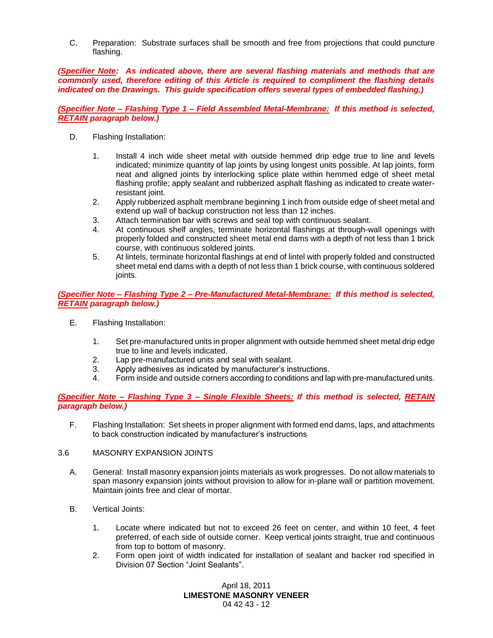C. Preparation: Substrate surfaces shall be smooth and free from projections that could puncture flashing.

*(Specifier Note: As indicated above, there are several flashing materials and methods that are commonly used, therefore editing of this Article is required to compliment the flashing details indicated on the Drawings. This guide specification offers several types of embedded flashing.)*

*(Specifier Note – Flashing Type 1 – Field Assembled Metal-Membrane: If this method is selected, RETAIN paragraph below.)*

- D. Flashing Installation:
	- 1. Install 4 inch wide sheet metal with outside hemmed drip edge true to line and levels indicated; minimize quantity of lap joints by using longest units possible. At lap joints, form neat and aligned joints by interlocking splice plate within hemmed edge of sheet metal flashing profile; apply sealant and rubberized asphalt flashing as indicated to create waterresistant joint.
	- 2. Apply rubberized asphalt membrane beginning 1 inch from outside edge of sheet metal and extend up wall of backup construction not less than 12 inches.
	- 3. Attach termination bar with screws and seal top with continuous sealant.
	- 4. At continuous shelf angles, terminate horizontal flashings at through-wall openings with properly folded and constructed sheet metal end dams with a depth of not less than 1 brick course, with continuous soldered joints.
	- 5. At lintels, terminate horizontal flashings at end of lintel with properly folded and constructed sheet metal end dams with a depth of not less than 1 brick course, with continuous soldered joints.

*(Specifier Note – Flashing Type 2 – Pre-Manufactured Metal-Membrane: If this method is selected, RETAIN paragraph below.)*

- E. Flashing Installation:
	- 1. Set pre-manufactured units in proper alignment with outside hemmed sheet metal drip edge true to line and levels indicated.
	- 2. Lap pre-manufactured units and seal with sealant.
	- 3. Apply adhesives as indicated by manufacturer's instructions.
	- 4. Form inside and outside corners according to conditions and lap with pre-manufactured units.

# *(Specifier Note – Flashing Type 3 – Single Flexible Sheets: If this method is selected, RETAIN paragraph below.)*

F. Flashing Installation: Set sheets in proper alignment with formed end dams, laps, and attachments to back construction indicated by manufacturer's instructions

### 3.6 MASONRY EXPANSION JOINTS

- A. General: Install masonry expansion joints materials as work progresses. Do not allow materials to span masonry expansion joints without provision to allow for in-plane wall or partition movement. Maintain joints free and clear of mortar.
- B. Vertical Joints:
	- 1. Locate where indicated but not to exceed 26 feet on center, and within 10 feet, 4 feet preferred, of each side of outside corner. Keep vertical joints straight, true and continuous from top to bottom of masonry.
	- 2. Form open joint of width indicated for installation of sealant and backer rod specified in Division 07 Section "Joint Sealants".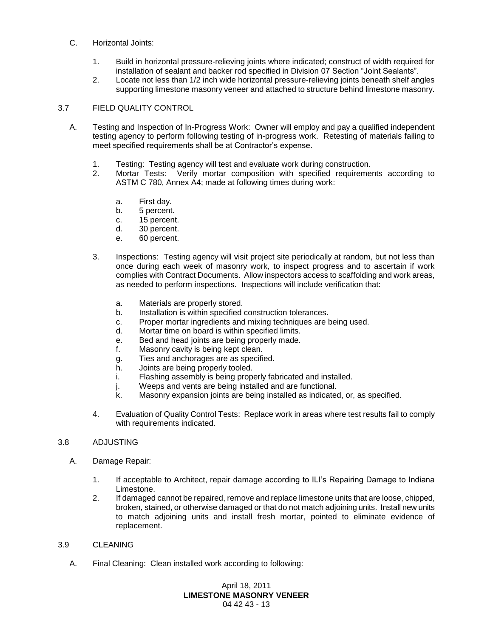### C. Horizontal Joints:

- 1. Build in horizontal pressure-relieving joints where indicated; construct of width required for installation of sealant and backer rod specified in Division 07 Section "Joint Sealants".
- 2. Locate not less than 1/2 inch wide horizontal pressure-relieving joints beneath shelf angles supporting limestone masonry veneer and attached to structure behind limestone masonry.

## 3.7 FIELD QUALITY CONTROL

- A. Testing and Inspection of In-Progress Work: Owner will employ and pay a qualified independent testing agency to perform following testing of in-progress work. Retesting of materials failing to meet specified requirements shall be at Contractor's expense.
	- 1. Testing: Testing agency will test and evaluate work during construction.
	- 2. Mortar Tests: Verify mortar composition with specified requirements according to ASTM C 780, Annex A4; made at following times during work:
		- a. First day.
		- b. 5 percent.
		- c. 15 percent.
		- d. 30 percent.
		- e. 60 percent.
	- 3. Inspections: Testing agency will visit project site periodically at random, but not less than once during each week of masonry work, to inspect progress and to ascertain if work complies with Contract Documents. Allow inspectors access to scaffolding and work areas, as needed to perform inspections. Inspections will include verification that:
		- a. Materials are properly stored.
		- b. Installation is within specified construction tolerances.
		- c. Proper mortar ingredients and mixing techniques are being used.
		- d. Mortar time on board is within specified limits.
		- e. Bed and head joints are being properly made.
		- f. Masonry cavity is being kept clean.
		- g. Ties and anchorages are as specified.
		- h. Joints are being properly tooled.
		- i. Flashing assembly is being properly fabricated and installed.
		- j. Weeps and vents are being installed and are functional.
		- k. Masonry expansion joints are being installed as indicated, or, as specified.
	- 4. Evaluation of Quality Control Tests: Replace work in areas where test results fail to comply with requirements indicated.

### 3.8 ADJUSTING

- A. Damage Repair:
	- 1. If acceptable to Architect, repair damage according to ILI's Repairing Damage to Indiana Limestone.
	- 2. If damaged cannot be repaired, remove and replace limestone units that are loose, chipped, broken, stained, or otherwise damaged or that do not match adjoining units. Install new units to match adjoining units and install fresh mortar, pointed to eliminate evidence of replacement.

### 3.9 CLEANING

A. Final Cleaning: Clean installed work according to following: